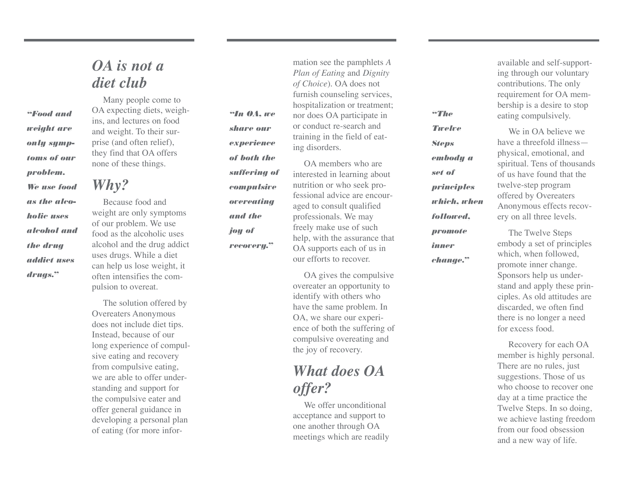#### *OA is not a diet club*

*"Food and weight ar e only symp toms of our problem. We use food as the alco holic uses alcohol and the drug addict uses drugs."*

Many people come to OA expecting diets, weighins, and lectures on food and weight. To their sur prise (and often relief), they find that OA offers none of these things.

## *Why?*

Because food and weight are only symptoms of our problem. We use food as the alcoholic uses alcohol and the drug addict uses drugs. While a diet can help us lose weight, it often intensifies the com pulsion to overeat.

The solution offered by Overeaters Anonymous does not include diet tips. Instead, because of our long experience of compul sive eating and recovery from compulsive eating, we are able to offer under standing and support for the compulsive eater and offer general guidance in developing a personal plan of eating (for more infor -

*"In OA, we share our experience of both the suffering of compulsive Plan of Eating* and *Dignity of Choice*). OA does not furnish counseling services, hospitalization or treatment; nor does OA participate in or conduct re-search and training in the field of eat ing disorders. OA members who are

*overeating and the joy of*

*recovery."*

interested in learning about nutrition or who seek pro fessional advice are encour aged to consult qualified professionals. We may freely make use of such help, with the assurance that OA supports each of us in our efforts to recover .

mation see the pamphlets *A*

OA gives the compulsive overeater an opportunity to identify with others who have the same problem. In OA, we share our experi ence of both the suffering of compulsive overeating and the joy of recovery .

### *What does OA offer?*

We offer unconditional acceptance and support to one another through OA meetings which are readily

available and self-support ing through our voluntary contributions. The only requirement for OA mem bership is a desire to stop eating compulsively .

We in OA believe we have a threefold illness physical, emotional, and spiritual. Tens of thousands of us have found that the twelve-step program offered by Overeaters Anonymous effects recov ery on all three levels.

The Twelve Steps embody a set of principles which, when followed, promote inner change. Sponsors help us under stand and apply these prin ciples. As old attitudes are discarded, we often find there is no longer a need for excess food.

Recovery for each OA member is highly personal. There are no rules, just suggestions. Those of us who choose to recover one day at a time practice the Twelve Steps. In so doing, we achieve lasting freedom from our food obsession and a new way of life.

*"The Twelve Steps*

*embody a set of*

*principles which, when*

*followed, promote inner change."*